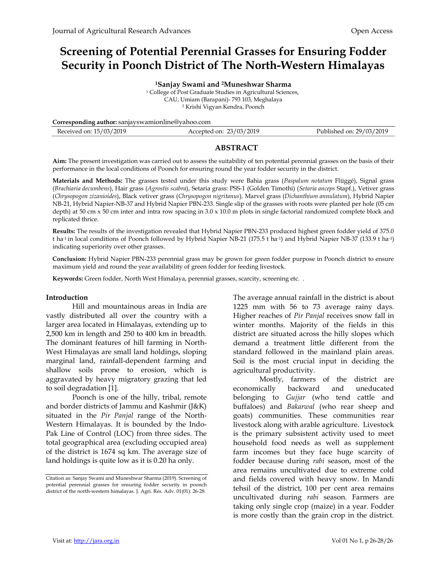# Screening of Potential Perennial Grasses for Ensuring Fodder Security in Poonch District of The North-Western Himalayas

Sanjay Swami and 2Muneshwar Sharma College of Post Graduate Studies in Agricultural Sciences, CAU, Umiam (Barapani)- 793 103, Meghalaya Krishi Vigyan Kendra, Poonch

Corresponding author: sanjayswamionline@yahoo.com

| Received on: 15/03/2019 | rcepted on: $23/03/2019$ | Published on: 29/03/2019 |
|-------------------------|--------------------------|--------------------------|
|                         |                          |                          |

#### ABSTRACT

Aim: The present investigation was carried out to assess the suitability of ten potential perennial grasses on the basis of their performance in the local conditions of Poonch for ensuring round the year fodder security in the district.

Materials and Methods: The grasses tested under this study were Bahia grass (Paspalum notatum Flüggé), Signal grass (Brachiaria decumbens), Hair grass (Agrostis scabra), Setaria grass: PSS-1 (Golden Timothi) (Setaria anceps Stapf.), Vetiver grass (Chrysopogon zizanioides), Black vetiver grass (Chrysopogon nigritanus), Marvel grass (Dichanthium annulatum), Hybrid Napier NB-21, Hybrid Napier-NB-37 and Hybrid Napier PBN-233. Single slip of the grasses with roots were planted per hole (05 cm depth) at 50 cm x 50 cm inter and intra row spacing in  $3.0 \times 10.0$  m plots in single factorial randomized complete block and replicated thrice.

Results: The results of the investigation revealed that Hybrid Napier PBN-233 produced highest green fodder yield of 375.0 t ha-1 in local conditions of Poonch followed by Hybrid Napier NB-21 (175.5 t ha-1) and Hybrid Napier NB-37 (133.9 t ha-1) indicating superiority over other grasses.

Conclusion: Hybrid Napier PBN-233 perennial grass may be grown for green fodder purpose in Poonch district to ensure maximum yield and round the year availability of green fodder for feeding livestock.

Keywords: Green fodder, North West Himalaya, perennial grasses, scarcity, screening etc. .

#### Introduction

Hill and mountainous areas in India are vastly distributed all over the country with a larger area located in Himalayas, extending up to 2,500 km in length and 250 to 400 km in breadth. The dominant features of hill farming in North-West Himalayas are small land holdings, sloping marginal land, rainfall-dependent farming and shallow soils prone to erosion, which is aggravated by heavy migratory grazing that led to soil degradation [1].

Poonch is one of the hilly, tribal, remote and border districts of Jammu and Kashmir (J&K) situated in the Pir Panjal range of the North-Western Himalayas. It is bounded by the Indo-Pak Line of Control (LOC) from three sides. The total geographical area (excluding occupied area) of the district is 1674 sq km. The average size of land holdings is quite low as it is 0.20 ha only.

The average annual rainfall in the district is about 1225 mm with 56 to 73 average rainy days. Higher reaches of Pir Panjal receives snow fall in winter months. Majority of the fields in this district are situated across the hilly slopes which demand a treatment little different from the standard followed in the mainland plain areas. Soil is the most crucial input in deciding the agricultural productivity.

Mostly, farmers of the district are economically backward and uneducated belonging to Gujjar (who tend cattle and buffaloes) and Bakarwal (who rear sheep and goats) communities. These communities rear livestock along with arable agriculture. Livestock is the primary subsistent activity used to meet household food needs as well as supplement farm incomes but they face huge scarcity of fodder because during rabi season, most of the area remains uncultivated due to extreme cold and fields covered with heavy snow. In Mandi tehsil of the district, 100 per cent area remains uncultivated during rabi season. Farmers are taking only single crop (maize) in a year. Fodder is more costly than the grain crop in the district.

Citation as: Sanjay Swami and Muneshwar Sharma (2019). Screening of potential perennial grasses for ensuring fodder security in poonch district of the north-western himalayas. J. Agri. Res. Adv. 01(01): 26-28.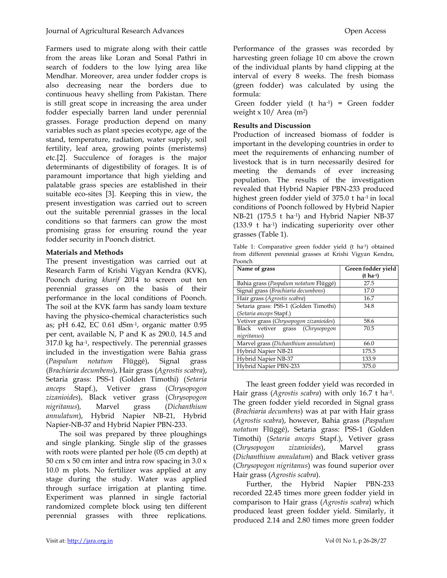Farmers used to migrate along with their cattle from the areas like Loran and Sonal Pathri in search of fodders to the low lying area like Mendhar. Moreover, area under fodder crops is also decreasing near the borders due to continuous heavy shelling from Pakistan. There is still great scope in increasing the area under fodder especially barren land under perennial grasses. Forage production depend on many variables such as plant species ecotype, age of the stand, temperature, radiation, water supply, soil fertility, leaf area, growing points (meristems) etc.[2]. Succulence of forages is the major determinants of digestibility of forages. It is of paramount importance that high yielding and palatable grass species are established in their suitable eco-sites [3]. Keeping this in view, the present investigation was carried out to screen out the suitable perennial grasses in the local conditions so that farmers can grow the most promising grass for ensuring round the year fodder security in Poonch district.

# Materials and Methods

The present investigation was carried out at Research Farm of Krishi Vigyan Kendra (KVK), Poonch during kharif 2014 to screen out ten perennial grasses on the basis of their performance in the local conditions of Poonch. The soil at the KVK farm has sandy loam texture having the physico-chemical characteristics such as; pH 6.42, EC 0.61 dSm-1, organic matter 0.95 per cent, available N, P and K as 290.0, 14.5 and  $317.0 \text{ kg}$  ha<sup>-1</sup>, respectively. The perennial grasses included in the investigation were Bahia grass (Paspalum notatum Flüggé), Signal grass (Brachiaria decumbens), Hair grass (Agrostis scabra), Setaria grass: PSS-1 (Golden Timothi) (Setaria anceps Stapf.), Vetiver grass (Chrysopogon zizanioides), Black vetiver grass (Chrysopogon nigritanus), Marvel grass (Dichanthium annulatum), Hybrid Napier NB-21, Hybrid Napier-NB-37 and Hybrid Napier PBN-233.

The soil was prepared by three ploughings and single planking. Single slip of the grasses with roots were planted per hole (05 cm depth) at 50 cm  $x$  50 cm inter and intra row spacing in 3.0  $x$ 10.0 m plots. No fertilizer was applied at any stage during the study. Water was applied through surface irrigation at planting time. Experiment was planned in single factorial randomized complete block using ten different perennial grasses with three replications. Performance of the grasses was recorded by harvesting green foliage 10 cm above the crown of the individual plants by hand clipping at the interval of every 8 weeks. The fresh biomass (green fodder) was calculated by using the formula:

 Green fodder yield (t ha-1) = Green fodder weight  $x$  10/ Area (m<sup>2</sup>)

# Results and Discussion

Production of increased biomass of fodder is important in the developing countries in order to meet the requirements of enhancing number of livestock that is in turn necessarily desired for meeting the demands of ever increasing population. The results of the investigation revealed that Hybrid Napier PBN-233 produced highest green fodder yield of 375.0 t ha-1 in local conditions of Poonch followed by Hybrid Napier NB-21 (175.5 t ha-1) and Hybrid Napier NB-37 (133.9 t ha-1) indicating superiority over other grasses (Table 1).

Table 1: Comparative green fodder yield (t ha-1) obtained from different perennial grasses at Krishi Vigyan Kendra, Poonch

| Name of grass                           | Green fodder yield    |
|-----------------------------------------|-----------------------|
|                                         | $(t \text{ ha}^{-1})$ |
| Bahia grass (Paspalum notatum Flüggé)   | 27.5                  |
| Signal grass (Brachiaria decumbens)     | 17.0                  |
| Hair grass (Agrostis scabra)            | 16.7                  |
| Setaria grass: PSS-1 (Golden Timothi)   | 34.8                  |
| (Setaria anceps Stapf.)                 |                       |
| Vetiver grass (Chrysopogon zizanioides) | 58.6                  |
| Black vetiver grass (Chrysopogon        | 70.5                  |
| nigritanus)                             |                       |
| Marvel grass (Dichanthium annulatum)    | 66.0                  |
| Hybrid Napier NB-21                     | 175.5                 |
| Hybrid Napier NB-37                     | 133.9                 |
| Hybrid Napier PBN-233                   | 375.0                 |

The least green fodder yield was recorded in Hair grass (Agrostis scabra) with only 16.7 t ha-1. The green fodder yield recorded in Signal grass (Brachiaria decumbens) was at par with Hair grass (Agrostis scabra), however, Bahia grass (Paspalum notatum Flüggé), Setaria grass: PSS-1 (Golden Timothi) (Setaria anceps Stapf.), Vetiver grass (Chrysopogon zizanioides), Marvel grass (Dichanthium annulatum) and Black vetiver grass (Chrysopogon nigritanus) was found superior over Hair grass (Agrostis scabra).

Further, the Hybrid Napier PBN-233 recorded 22.45 times more green fodder yield in comparison to Hair grass (Agrostis scabra) which produced least green fodder yield. Similarly, it produced 2.14 and 2.80 times more green fodder